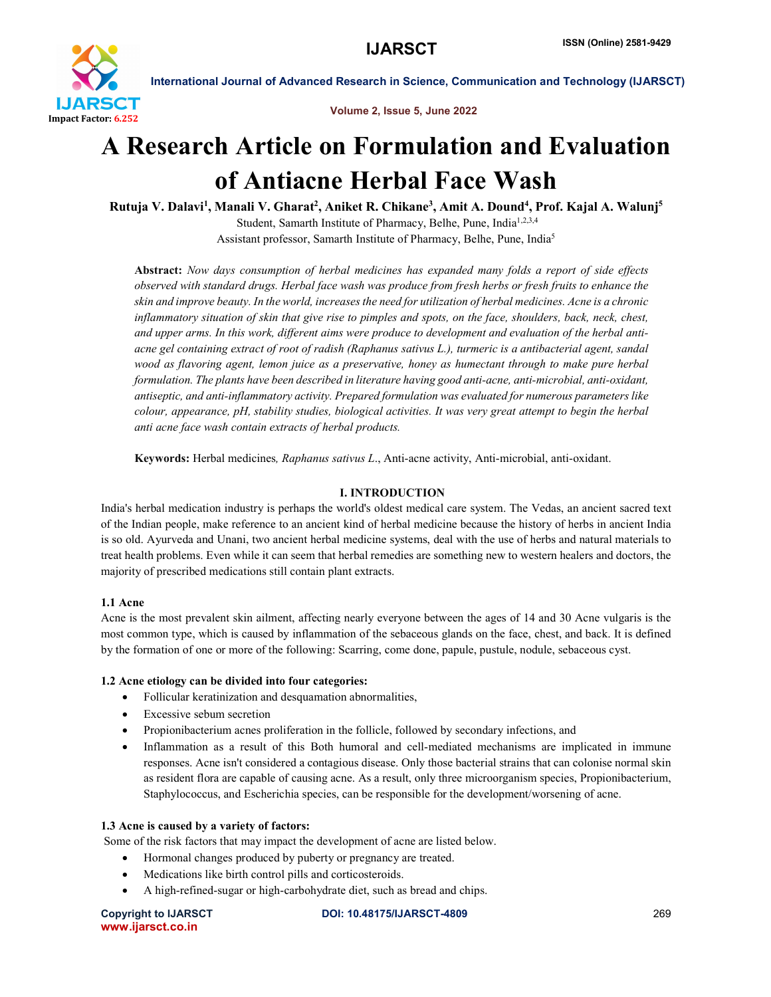

#### Volume 2, Issue 5, June 2022

# A Research Article on Formulation and Evaluation of Antiacne Herbal Face Wash

Rutuja V. Dalavi<sup>1</sup>, Manali V. Gharat<sup>2</sup>, Aniket R. Chikane<sup>3</sup>, Amit A. Dound<sup>4</sup>, Prof. Kajal A. Walunj<sup>5</sup> Student, Samarth Institute of Pharmacy, Belhe, Pune, India<sup>1,2,3,4</sup> Assistant professor, Samarth Institute of Pharmacy, Belhe, Pune, India5

Abstract: *Now days consumption of herbal medicines has expanded many folds a report of side effects* observed with standard drugs. Herbal face wash was produce from fresh herbs or fresh fruits to enhance the skin and improve beauty. In the world, increases the need for utilization of herbal medicines. Acne is a chronic inflammatory situation of skin that give rise to pimples and spots, on the face, shoulders, back, neck, chest, and upper arms. In this work, different aims were produce to development and evaluation of the herbal antiacne gel containing extract of root of radish (Raphanus sativus L.), turmeric is a antibacterial agent, sandal *wood as flavoring agent, lemon juice as a preservative, honey as humectant through to make pure herbal formulation. The plants have been described in literature having good anti-acne, anti-microbial, anti-oxidant, antiseptic, and anti-inflammatory activity. Prepared formulation was evaluated for numerous parameters like colour, appearance, pH, stability studies, biological activities. It was very great attempt to begin the herbal anti acne face wash contain extracts of herbal products.*

Keywords: Herbal medicines*, Raphanus sativus L*., Anti-acne activity, Anti-microbial, anti-oxidant.

# I. INTRODUCTION

India's herbal medication industry is perhaps the world's oldest medical care system. The Vedas, an ancient sacred text of the Indian people, make reference to an ancient kind of herbal medicine because the history of herbs in ancient India is so old. Ayurveda and Unani, two ancient herbal medicine systems, deal with the use of herbs and natural materials to treat health problems. Even while it can seem that herbal remedies are something new to western healers and doctors, the majority of prescribed medications still contain plant extracts.

# 1.1 Acne

Acne is the most prevalent skin ailment, affecting nearly everyone between the ages of 14 and 30 Acne vulgaris is the most common type, which is caused by inflammation of the sebaceous glands on the face, chest, and back. It is defined by the formation of one or more of the following: Scarring, come done, papule, pustule, nodule, sebaceous cyst.

# 1.2 Acne etiology can be divided into four categories:

- Follicular keratinization and desquamation abnormalities,
- Excessive sebum secretion
- Propionibacterium acnes proliferation in the follicle, followed by secondary infections, and
- Inflammation as a result of this Both humoral and cell-mediated mechanisms are implicated in immune responses. Acne isn't considered a contagious disease. Only those bacterial strains that can colonise normal skin as resident flora are capable of causing acne. As a result, only three microorganism species, Propionibacterium, Staphylococcus, and Escherichia species, can be responsible for the development/worsening of acne.

# 1.3 Acne is caused by a variety of factors:

Some of the risk factors that may impact the development of acne are listed below.

- Hormonal changes produced by puberty or pregnancy are treated.
- Medications like birth control pills and corticosteroids.
- A high-refined-sugar or high-carbohydrate diet, such as bread and chips.

www.ijarsct.co.in

Copyright to IJARSCT DOI: 10.48175/IJARSCT-4809 269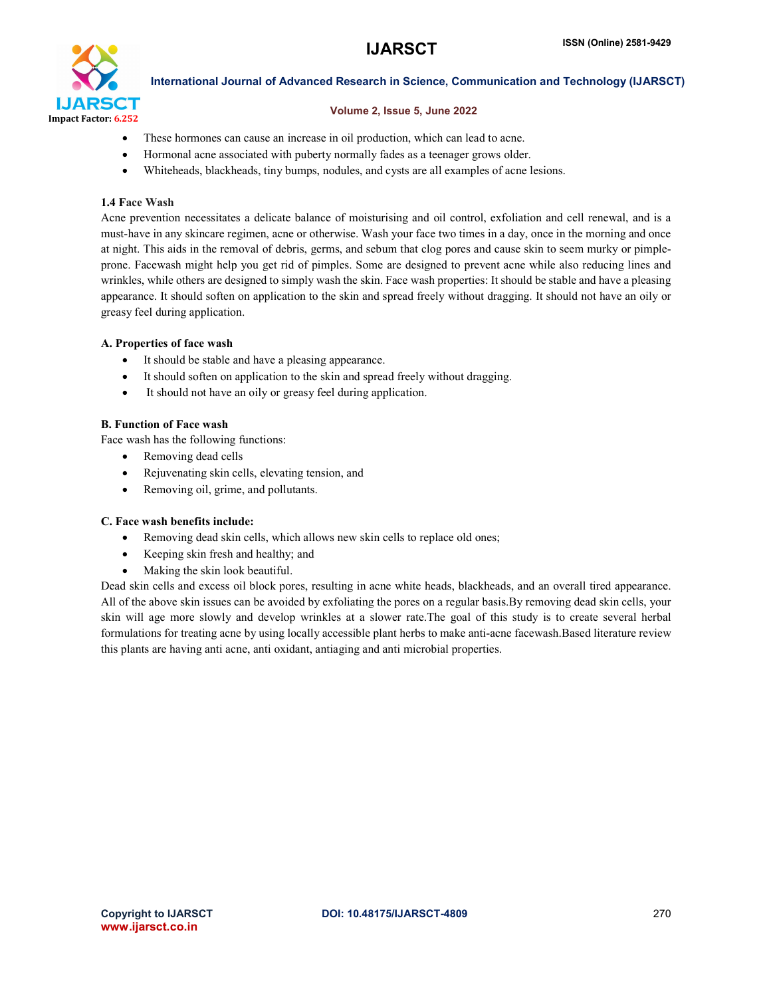

#### Volume 2, Issue 5, June 2022

- These hormones can cause an increase in oil production, which can lead to acne.
- Hormonal acne associated with puberty normally fades as a teenager grows older.
- Whiteheads, blackheads, tiny bumps, nodules, and cysts are all examples of acne lesions.

#### 1.4 Face Wash

Acne prevention necessitates a delicate balance of moisturising and oil control, exfoliation and cell renewal, and is a must-have in any skincare regimen, acne or otherwise. Wash your face two times in a day, once in the morning and once at night. This aids in the removal of debris, germs, and sebum that clog pores and cause skin to seem murky or pimpleprone. Facewash might help you get rid of pimples. Some are designed to prevent acne while also reducing lines and wrinkles, while others are designed to simply wash the skin. Face wash properties: It should be stable and have a pleasing appearance. It should soften on application to the skin and spread freely without dragging. It should not have an oily or greasy feel during application.

### A. Properties of face wash

- It should be stable and have a pleasing appearance.
- It should soften on application to the skin and spread freely without dragging.
- It should not have an oily or greasy feel during application.

### B. Function of Face wash

Face wash has the following functions:

- Removing dead cells
- Rejuvenating skin cells, elevating tension, and
- Removing oil, grime, and pollutants.

#### C. Face wash benefits include:

- Removing dead skin cells, which allows new skin cells to replace old ones;
- Keeping skin fresh and healthy; and
- Making the skin look beautiful.

Dead skin cells and excess oil block pores, resulting in acne white heads, blackheads, and an overall tired appearance. All of the above skin issues can be avoided by exfoliating the pores on a regular basis.By removing dead skin cells, your skin will age more slowly and develop wrinkles at a slower rate.The goal of this study is to create several herbal formulations for treating acne by using locally accessible plant herbs to make anti-acne facewash.Based literature review this plants are having anti acne, anti oxidant, antiaging and anti microbial properties.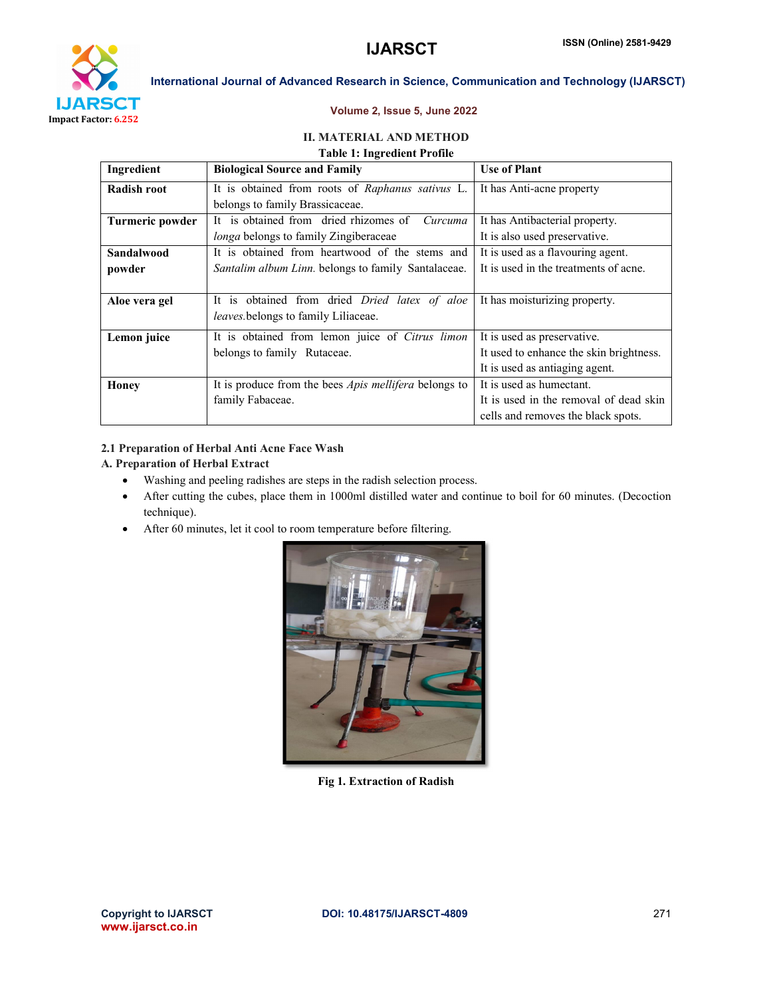

#### Volume 2, Issue 5, June 2022

### II. MATERIAL AND METHOD Table 1: Ingredient Profile

| Ingredient      | <b>Biological Source and Family</b>                          | <b>Use of Plant</b>                     |  |
|-----------------|--------------------------------------------------------------|-----------------------------------------|--|
| Radish root     | It is obtained from roots of Raphanus sativus L.             | It has Anti-acne property               |  |
|                 | belongs to family Brassicaceae.                              |                                         |  |
| Turmeric powder | It is obtained from dried rhizomes of<br>Curcuma             | It has Antibacterial property.          |  |
|                 | <i>longa</i> belongs to family Zingiberaceae                 | It is also used preservative.           |  |
| Sandalwood      | It is obtained from heartwood of the stems and               | It is used as a flavouring agent.       |  |
| powder          | <i>Santalim album Linn</i> , belongs to family Santalaceae.  | It is used in the treatments of acne.   |  |
|                 |                                                              |                                         |  |
| Aloe vera gel   | It is obtained from dried Dried latex of aloe                | It has moisturizing property.           |  |
|                 | <i>leaves</i> belongs to family Liliaceae.                   |                                         |  |
| Lemon juice     | It is obtained from lemon juice of Citrus limon              | It is used as preservative.             |  |
|                 | belongs to family Rutaceae.                                  | It used to enhance the skin brightness. |  |
|                 |                                                              | It is used as antiaging agent.          |  |
| Honey           | It is produce from the bees <i>Apis mellifera</i> belongs to | It is used as humectant.                |  |
|                 | family Fabaceae.                                             | It is used in the removal of dead skin  |  |
|                 |                                                              | cells and removes the black spots.      |  |

#### 2.1 Preparation of Herbal Anti Acne Face Wash

# A. Preparation of Herbal Extract

- Washing and peeling radishes are steps in the radish selection process.
- After cutting the cubes, place them in 1000ml distilled water and continue to boil for 60 minutes. (Decoction technique).
- After 60 minutes, let it cool to room temperature before filtering.



Fig 1. Extraction of Radish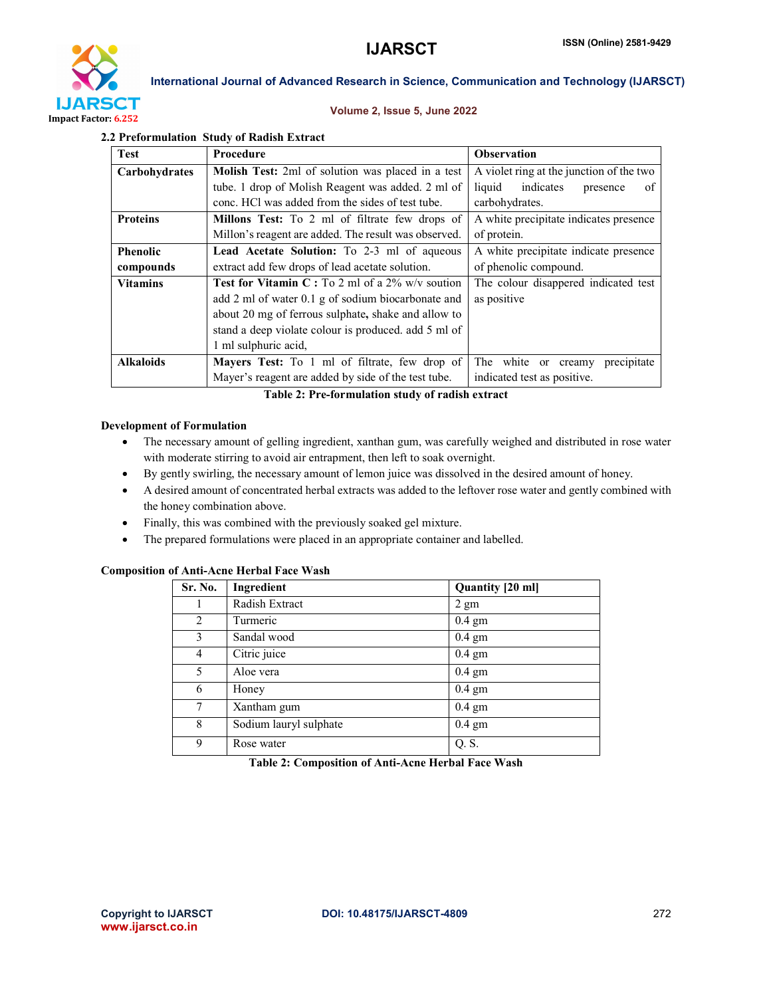

#### Volume 2, Issue 5, June 2022

#### 2.2 Preformulation Study of Radish Extract

| <b>Test</b>      | <b>Procedure</b>                                           | <b>Observation</b>                       |  |  |
|------------------|------------------------------------------------------------|------------------------------------------|--|--|
| Carbohydrates    | <b>Molish Test:</b> 2ml of solution was placed in a test   | A violet ring at the junction of the two |  |  |
|                  | tube. 1 drop of Molish Reagent was added. 2 ml of          | indicates<br>liquid<br>presence<br>0f    |  |  |
|                  | conc. HCl was added from the sides of test tube.           | carbohydrates.                           |  |  |
| <b>Proteins</b>  | <b>Millons Test:</b> To 2 ml of filtrate few drops of      | A white precipitate indicates presence   |  |  |
|                  | Millon's reagent are added. The result was observed.       | of protein.                              |  |  |
| <b>Phenolic</b>  | Lead Acetate Solution: To 2-3 ml of aqueous                | A white precipitate indicate presence    |  |  |
| compounds        | extract add few drops of lead acetate solution.            | of phenolic compound.                    |  |  |
| <b>Vitamins</b>  | <b>Test for Vitamin C</b> : To 2 ml of a $2\%$ w/v soution | The colour disappered indicated test     |  |  |
|                  | add 2 ml of water 0.1 g of sodium biocarbonate and         | as positive                              |  |  |
|                  | about 20 mg of ferrous sulphate, shake and allow to        |                                          |  |  |
|                  | stand a deep violate colour is produced, add 5 ml of       |                                          |  |  |
|                  | 1 ml sulphuric acid,                                       |                                          |  |  |
| <b>Alkaloids</b> | <b>Mayers Test:</b> To 1 ml of filtrate, few drop of       | white or creamy<br>precipitate<br>The    |  |  |
|                  | Mayer's reagent are added by side of the test tube.        | indicated test as positive.              |  |  |

Table 2: Pre-formulation study of radish extract

#### Development of Formulation

- The necessary amount of gelling ingredient, xanthan gum, was carefully weighed and distributed in rose water with moderate stirring to avoid air entrapment, then left to soak overnight.
- By gently swirling, the necessary amount of lemon juice was dissolved in the desired amount of honey.
- A desired amount of concentrated herbal extracts was added to the leftover rose water and gently combined with the honey combination above.
- Finally, this was combined with the previously soaked gel mixture.
- The prepared formulations were placed in an appropriate container and labelled.

#### Composition of Anti-Acne Herbal Face Wash

| Sr. No. | Ingredient             | Quantity [20 ml] |
|---------|------------------------|------------------|
|         | Radish Extract         | $2 \text{ gm}$   |
| 2       | Turmeric               | $0.4 \text{ gm}$ |
| 3       | Sandal wood            | $0.4 \text{ gm}$ |
| 4       | Citric juice           | $0.4 \text{ gm}$ |
| 5       | Aloe vera              | $0.4 \text{ gm}$ |
| 6       | Honey                  | $0.4 \text{ gm}$ |
| 7       | Xantham gum            | $0.4 \text{ gm}$ |
| 8       | Sodium lauryl sulphate | $0.4 \text{ gm}$ |
| 9       | Rose water             | Q. S.            |

| Table 2: Composition of Anti-Acne Herbal Face Wash |  |  |  |  |  |
|----------------------------------------------------|--|--|--|--|--|
|----------------------------------------------------|--|--|--|--|--|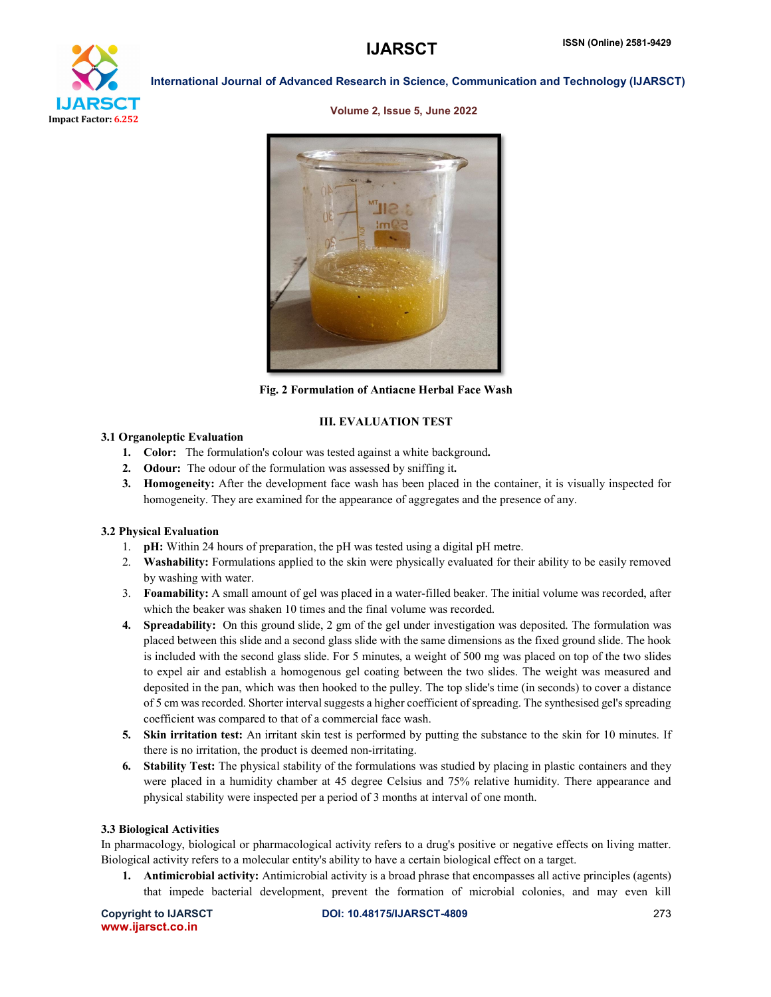

Volume 2, Issue 5, June 2022



Fig. 2 Formulation of Antiacne Herbal Face Wash

### III. EVALUATION TEST

#### 3.1 Organoleptic Evaluation

- 1. Color: The formulation's colour was tested against a white background.
- 2. Odour: The odour of the formulation was assessed by sniffing it.
- 3. Homogeneity: After the development face wash has been placed in the container, it is visually inspected for homogeneity. They are examined for the appearance of aggregates and the presence of any.

#### 3.2 Physical Evaluation

- 1. pH: Within 24 hours of preparation, the pH was tested using a digital pH metre.
- 2. Washability: Formulations applied to the skin were physically evaluated for their ability to be easily removed by washing with water.
- 3. Foamability: A small amount of gel was placed in a water-filled beaker. The initial volume was recorded, after which the beaker was shaken 10 times and the final volume was recorded.
- 4. Spreadability: On this ground slide, 2 gm of the gel under investigation was deposited. The formulation was placed between this slide and a second glass slide with the same dimensions as the fixed ground slide. The hook is included with the second glass slide. For 5 minutes, a weight of 500 mg was placed on top of the two slides to expel air and establish a homogenous gel coating between the two slides. The weight was measured and deposited in the pan, which was then hooked to the pulley. The top slide's time (in seconds) to cover a distance of 5 cm was recorded. Shorter interval suggests a higher coefficient of spreading. The synthesised gel's spreading coefficient was compared to that of a commercial face wash.
- 5. Skin irritation test: An irritant skin test is performed by putting the substance to the skin for 10 minutes. If there is no irritation, the product is deemed non-irritating.
- 6. Stability Test: The physical stability of the formulations was studied by placing in plastic containers and they were placed in a humidity chamber at 45 degree Celsius and 75% relative humidity. There appearance and physical stability were inspected per a period of 3 months at interval of one month.

#### 3.3 Biological Activities

In pharmacology, biological or pharmacological activity refers to a drug's positive or negative effects on living matter. Biological activity refers to a molecular entity's ability to have a certain biological effect on a target.

1. Antimicrobial activity: Antimicrobial activity is a broad phrase that encompasses all active principles (agents) that impede bacterial development, prevent the formation of microbial colonies, and may even kill

www.ijarsct.co.in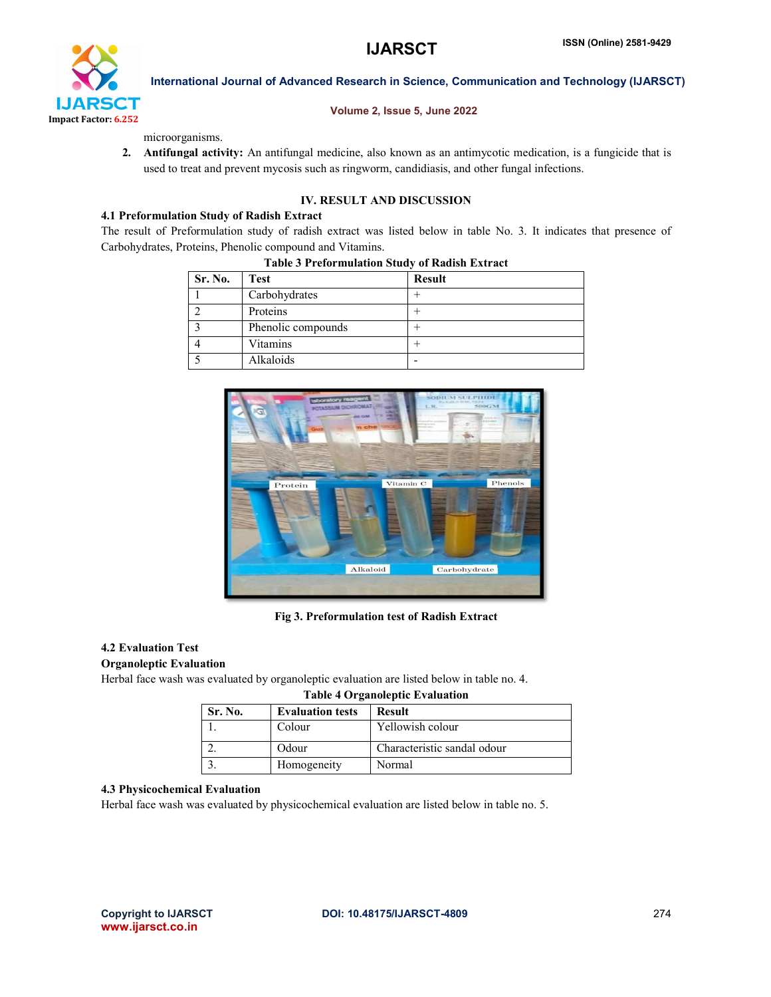

#### Volume 2, Issue 5, June 2022

microorganisms.

2. Antifungal activity: An antifungal medicine, also known as an antimycotic medication, is a fungicide that is used to treat and prevent mycosis such as ringworm, candidiasis, and other fungal infections.

## IV. RESULT AND DISCUSSION

#### 4.1 Preformulation Study of Radish Extract

The result of Preformulation study of radish extract was listed below in table No. 3. It indicates that presence of Carbohydrates, Proteins, Phenolic compound and Vitamins.

| Sr. No. | Test               | <b>Result</b> |
|---------|--------------------|---------------|
|         | Carbohydrates      |               |
|         | Proteins           |               |
|         | Phenolic compounds |               |
|         | Vitamins           |               |
|         | Alkaloids          |               |

#### Table 3 Preformulation Study of Radish Extract



### Fig 3. Preformulation test of Radish Extract

#### 4.2 Evaluation Test

#### Organoleptic Evaluation

Herbal face wash was evaluated by organoleptic evaluation are listed below in table no. 4.

| Table + Organoicput Evaluation                      |             |                             |  |
|-----------------------------------------------------|-------------|-----------------------------|--|
| Sr. No.<br><b>Evaluation tests</b><br><b>Result</b> |             |                             |  |
|                                                     | Colour      | Yellowish colour            |  |
|                                                     | Odour       | Characteristic sandal odour |  |
|                                                     | Homogeneity | Normal                      |  |

#### Table 4 Organoleptic Evaluation

# 4.3 Physicochemical Evaluation

Herbal face wash was evaluated by physicochemical evaluation are listed below in table no. 5.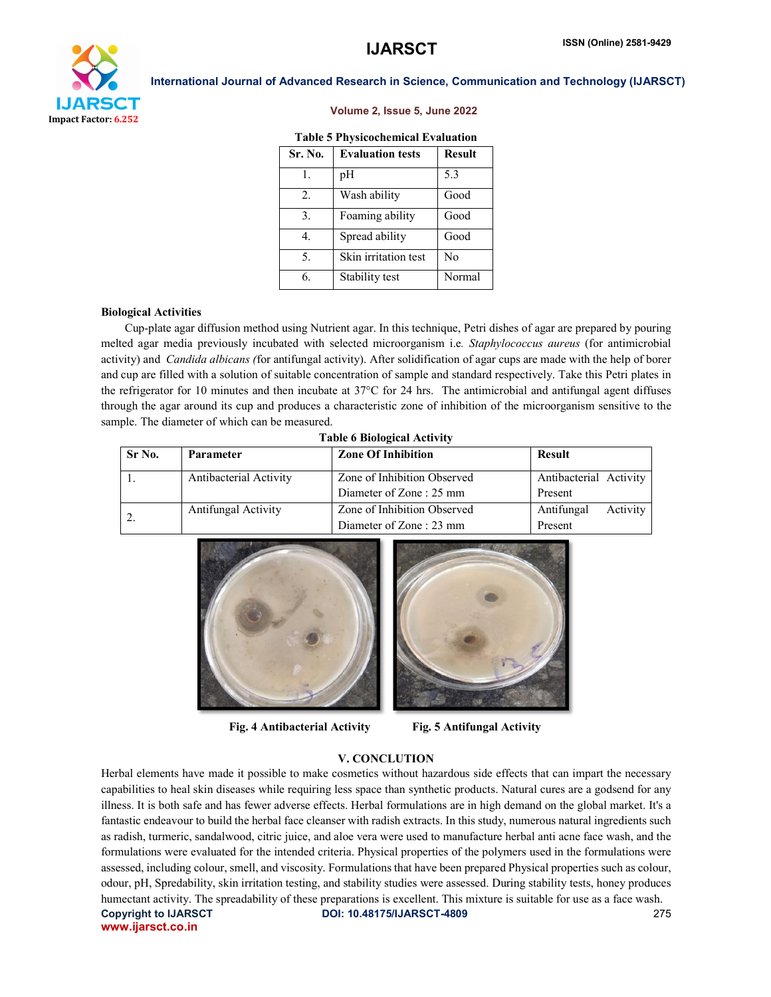

# Volume 2, Issue 5, June 2022

| <b>Table 5 Physicochemical Evaluation</b> |  |
|-------------------------------------------|--|
|-------------------------------------------|--|

| Sr. No. | <b>Evaluation tests</b> | <b>Result</b>  |
|---------|-------------------------|----------------|
| 1.      | pH                      | 5.3            |
| 2.      | Wash ability            | Good           |
| 3.      | Foaming ability         | Good           |
| 4.      | Spread ability          | Good           |
| 5.      | Skin irritation test    | N <sub>0</sub> |
| 6.      | Stability test          | Normal         |

#### Biological Activities

 Cup-plate agar diffusion method using Nutrient agar. In this technique, Petri dishes of agar are prepared by pouring melted agar media previously incubated with selected microorganism i.e*. Staphylococcus aureus* (for antimicrobial activity) and *Candida albicans (*for antifungal activity). After solidification of agar cups are made with the help of borer and cup are filled with a solution of suitable concentration of sample and standard respectively. Take this Petri plates in the refrigerator for 10 minutes and then incubate at 37°C for 24 hrs. The antimicrobial and antifungal agent diffuses through the agar around its cup and produces a characteristic zone of inhibition of the microorganism sensitive to the sample. The diameter of which can be measured.

| <b>Table 6 Biological Activity</b> |  |
|------------------------------------|--|
|------------------------------------|--|

| Sr No. | <b>Parameter</b>           | <b>Zone Of Inhibition</b>   | <b>Result</b>          |
|--------|----------------------------|-----------------------------|------------------------|
|        | Antibacterial Activity     | Zone of Inhibition Observed | Antibacterial Activity |
|        |                            | Diameter of Zone : 25 mm    | Present                |
|        | <b>Antifungal Activity</b> | Zone of Inhibition Observed | Antifungal<br>Activity |
|        |                            | Diameter of Zone : 23 mm    | Present                |



Fig. 4 Antibacterial Activity Fig. 5 Antifungal Activity



#### V. CONCLUTION

Copyright to IJARSCT DOI: 10.48175/IJARSCT-4809 275 www.ijarsct.co.in Herbal elements have made it possible to make cosmetics without hazardous side effects that can impart the necessary capabilities to heal skin diseases while requiring less space than synthetic products. Natural cures are a godsend for any illness. It is both safe and has fewer adverse effects. Herbal formulations are in high demand on the global market. It's a fantastic endeavour to build the herbal face cleanser with radish extracts. In this study, numerous natural ingredients such as radish, turmeric, sandalwood, citric juice, and aloe vera were used to manufacture herbal anti acne face wash, and the formulations were evaluated for the intended criteria. Physical properties of the polymers used in the formulations were assessed, including colour, smell, and viscosity. Formulations that have been prepared Physical properties such as colour, odour, pH, Spredability, skin irritation testing, and stability studies were assessed. During stability tests, honey produces humectant activity. The spreadability of these preparations is excellent. This mixture is suitable for use as a face wash.